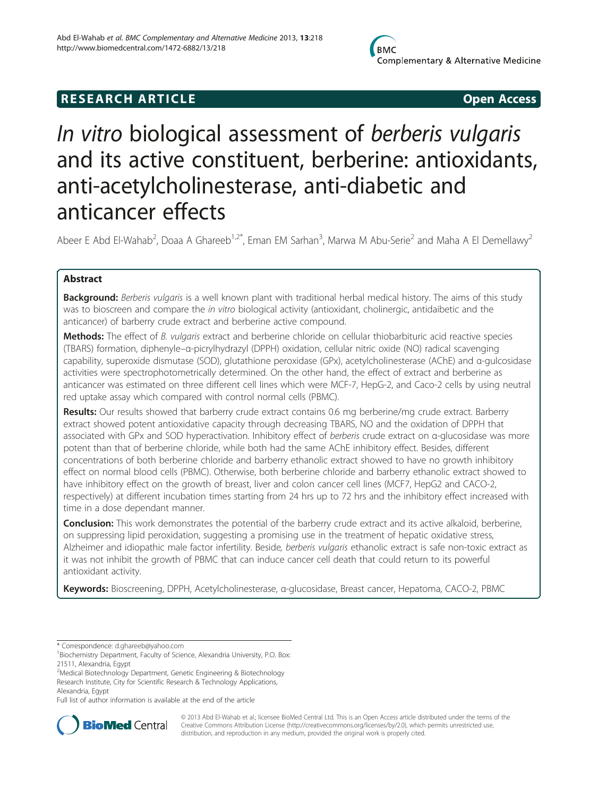# **RESEARCH ARTICLE Example 2018 12:00 Open Access**

# In vitro biological assessment of berberis vulgaris and its active constituent, berberine: antioxidants, anti-acetylcholinesterase, anti-diabetic and anticancer effects

Abeer E Abd El-Wahab<sup>2</sup>, Doaa A Ghareeb<sup>1,2\*</sup>, Eman EM Sarhan<sup>3</sup>, Marwa M Abu-Serie<sup>2</sup> and Maha A El Demellawy<sup>2</sup>

# Abstract

Background: Berberis vulgaris is a well known plant with traditional herbal medical history. The aims of this study was to bioscreen and compare the in vitro biological activity (antioxidant, cholinergic, antidaibetic and the anticancer) of barberry crude extract and berberine active compound.

Methods: The effect of B. vulgaris extract and berberine chloride on cellular thiobarbituric acid reactive species (TBARS) formation, diphenyle–α-picrylhydrazyl (DPPH) oxidation, cellular nitric oxide (NO) radical scavenging capability, superoxide dismutase (SOD), glutathione peroxidase (GPx), acetylcholinesterase (AChE) and α-gulcosidase activities were spectrophotometrically determined. On the other hand, the effect of extract and berberine as anticancer was estimated on three different cell lines which were MCF-7, HepG-2, and Caco-2 cells by using neutral red uptake assay which compared with control normal cells (PBMC).

Results: Our results showed that barberry crude extract contains 0.6 mg berberine/mg crude extract. Barberry extract showed potent antioxidative capacity through decreasing TBARS, NO and the oxidation of DPPH that associated with GPx and SOD hyperactivation. Inhibitory effect of berberis crude extract on α-glucosidase was more potent than that of berberine chloride, while both had the same AChE inhibitory effect. Besides, different concentrations of both berberine chloride and barberry ethanolic extract showed to have no growth inhibitory effect on normal blood cells (PBMC). Otherwise, both berberine chloride and barberry ethanolic extract showed to have inhibitory effect on the growth of breast, liver and colon cancer cell lines (MCF7, HepG2 and CACO-2, respectively) at different incubation times starting from 24 hrs up to 72 hrs and the inhibitory effect increased with time in a dose dependant manner.

**Conclusion:** This work demonstrates the potential of the barberry crude extract and its active alkaloid, berberine, on suppressing lipid peroxidation, suggesting a promising use in the treatment of hepatic oxidative stress, Alzheimer and idiopathic male factor infertility. Beside, berberis vulgaris ethanolic extract is safe non-toxic extract as it was not inhibit the growth of PBMC that can induce cancer cell death that could return to its powerful antioxidant activity.

Keywords: Bioscreening, DPPH, Acetylcholinesterase, α-glucosidase, Breast cancer, Hepatoma, CACO-2, PBMC

\* Correspondence: [d.ghareeb@yahoo.com](mailto:d.ghareeb@yahoo.com) <sup>1</sup>

<sup>2</sup>Medical Biotechnology Department, Genetic Engineering & Biotechnology Research Institute, City for Scientific Research & Technology Applications, Alexandria, Egypt

Full list of author information is available at the end of the article



© 2013 Abd El-Wahab et al.; licensee BioMed Central Ltd. This is an Open Access article distributed under the terms of the Creative Commons Attribution License (<http://creativecommons.org/licenses/by/2.0>), which permits unrestricted use, distribution, and reproduction in any medium, provided the original work is properly cited.

<sup>&</sup>lt;sup>1</sup> Biochemistry Department, Faculty of Science, Alexandria University, P.O. Box: 21511, Alexandria, Egypt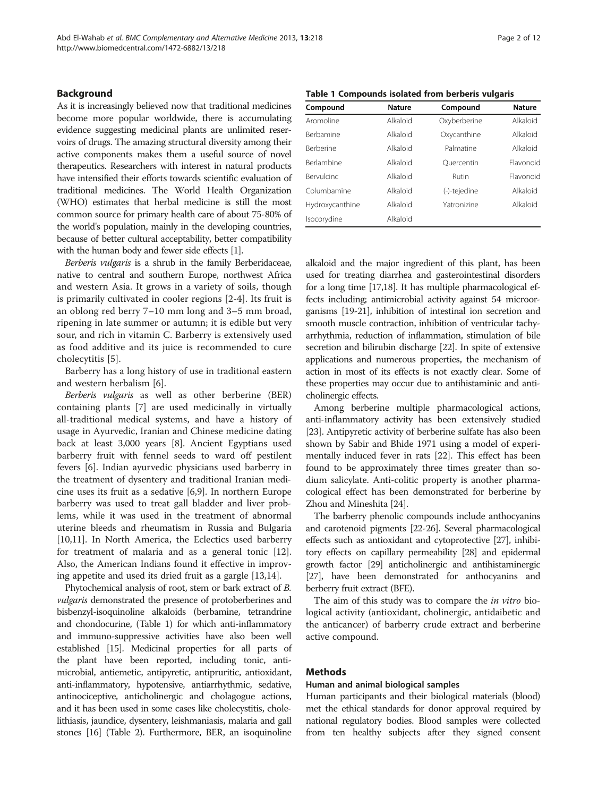#### Background

As it is increasingly believed now that traditional medicines become more popular worldwide, there is accumulating evidence suggesting medicinal plants are unlimited reservoirs of drugs. The amazing structural diversity among their active components makes them a useful source of novel therapeutics. Researchers with interest in natural products have intensified their efforts towards scientific evaluation of traditional medicines. The World Health Organization (WHO) estimates that herbal medicine is still the most common source for primary health care of about 75-80% of the world's population, mainly in the developing countries, because of better cultural acceptability, better compatibility with the human body and fewer side effects [[1](#page-9-0)].

Berberis vulgaris is a shrub in the family Berberidaceae, native to central and southern Europe, northwest Africa and western Asia. It grows in a variety of soils, though is primarily cultivated in cooler regions [\[2-4](#page-9-0)]. Its fruit is an oblong red berry 7–10 mm long and 3–5 mm broad, ripening in late summer or autumn; it is edible but very sour, and rich in vitamin C. Barberry is extensively used as food additive and its juice is recommended to cure cholecytitis [[5](#page-9-0)].

Barberry has a long history of use in traditional eastern and western herbalism [\[6](#page-9-0)].

Berberis vulgaris as well as other berberine (BER) containing plants [[7\]](#page-9-0) are used medicinally in virtually all-traditional medical systems, and have a history of usage in Ayurvedic, Iranian and Chinese medicine dating back at least 3,000 years [[8\]](#page-9-0). Ancient Egyptians used barberry fruit with fennel seeds to ward off pestilent fevers [[6\]](#page-9-0). Indian ayurvedic physicians used barberry in the treatment of dysentery and traditional Iranian medicine uses its fruit as a sedative [\[6,9](#page-9-0)]. In northern Europe barberry was used to treat gall bladder and liver problems, while it was used in the treatment of abnormal uterine bleeds and rheumatism in Russia and Bulgaria [[10,11\]](#page-9-0). In North America, the Eclectics used barberry for treatment of malaria and as a general tonic [\[12](#page-9-0)]. Also, the American Indians found it effective in improving appetite and used its dried fruit as a gargle [[13](#page-9-0),[14](#page-9-0)].

Phytochemical analysis of root, stem or bark extract of B. vulgaris demonstrated the presence of protoberberines and bisbenzyl-isoquinoline alkaloids (berbamine, tetrandrine and chondocurine, (Table 1) for which anti-inflammatory and immuno-suppressive activities have also been well established [\[15\]](#page-9-0). Medicinal properties for all parts of the plant have been reported, including tonic, antimicrobial, antiemetic, antipyretic, antipruritic, antioxidant, anti-inflammatory, hypotensive, antiarrhythmic, sedative, antinociceptive, anticholinergic and cholagogue actions, and it has been used in some cases like cholecystitis, cholelithiasis, jaundice, dysentery, leishmaniasis, malaria and gall stones [[16](#page-9-0)] (Table [2](#page-2-0)). Furthermore, BER, an isoquinoline

Table 1 Compounds isolated from berberis vulgaris

| Compound          | <b>Nature</b> | Compound     | <b>Nature</b> |
|-------------------|---------------|--------------|---------------|
| Aromoline         | Alkaloid      | Oxyberberine | Alkaloid      |
| <b>Berbamine</b>  | Alkaloid      | Oxycanthine  | Alkaloid      |
| <b>Berberine</b>  | Alkaloid      | Palmatine    | Alkaloid      |
| <b>Berlambine</b> | Alkaloid      | Ouercentin   | Flavonoid     |
| <b>Bervulcinc</b> | Alkaloid      | Rutin        | Flavonoid     |
| Columbamine       | Alkaloid      | (-)-tejedine | Alkaloid      |
| Hydroxycanthine   | Alkaloid      | Yatronizine  | Alkaloid      |
| Isocorydine       | Alkaloid      |              |               |

alkaloid and the major ingredient of this plant, has been used for treating diarrhea and gasterointestinal disorders for a long time [[17,18](#page-9-0)]. It has multiple pharmacological effects including; antimicrobial activity against 54 microorganisms [\[19](#page-9-0)[-21\]](#page-10-0), inhibition of intestinal ion secretion and smooth muscle contraction, inhibition of ventricular tachyarrhythmia, reduction of inflammation, stimulation of bile secretion and bilirubin discharge [[22](#page-10-0)]. In spite of extensive applications and numerous properties, the mechanism of action in most of its effects is not exactly clear. Some of these properties may occur due to antihistaminic and anticholinergic effects.

Among berberine multiple pharmacological actions, anti-inflammatory activity has been extensively studied [[23](#page-10-0)]. Antipyretic activity of berberine sulfate has also been shown by Sabir and Bhide 1971 using a model of experimentally induced fever in rats [\[22\]](#page-10-0). This effect has been found to be approximately three times greater than sodium salicylate. Anti-colitic property is another pharmacological effect has been demonstrated for berberine by Zhou and Mineshita [\[24\]](#page-10-0).

The barberry phenolic compounds include anthocyanins and carotenoid pigments [\[22-26\]](#page-10-0). Several pharmacological effects such as antioxidant and cytoprotective [[27](#page-10-0)], inhibitory effects on capillary permeability [\[28](#page-10-0)] and epidermal growth factor [\[29\]](#page-10-0) anticholinergic and antihistaminergic [[27](#page-10-0)], have been demonstrated for anthocyanins and berberry fruit extract (BFE).

The aim of this study was to compare the *in vitro* biological activity (antioxidant, cholinergic, antidaibetic and the anticancer) of barberry crude extract and berberine active compound.

#### Methods

#### Human and animal biological samples

Human participants and their biological materials (blood) met the ethical standards for donor approval required by national regulatory bodies. Blood samples were collected from ten healthy subjects after they signed consent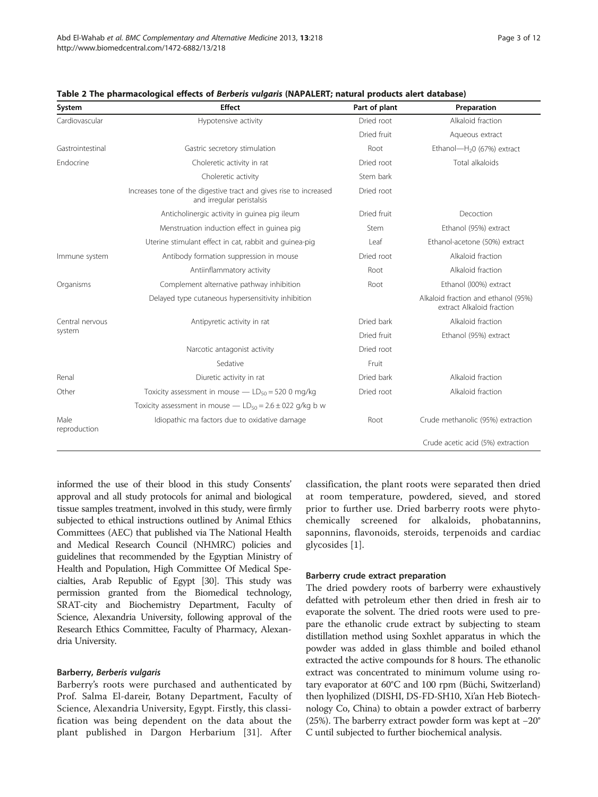|  | Page 3 of 12 |  |  |  |
|--|--------------|--|--|--|
|--|--------------|--|--|--|

| System                                 | <b>Effect</b>                                                                                  |             | Preparation                                                      |  |  |
|----------------------------------------|------------------------------------------------------------------------------------------------|-------------|------------------------------------------------------------------|--|--|
| Cardiovascular<br>Hypotensive activity |                                                                                                | Dried root  | Alkaloid fraction                                                |  |  |
|                                        |                                                                                                | Dried fruit | Aqueous extract                                                  |  |  |
| Gastrointestinal                       | Gastric secretory stimulation                                                                  | Root        | Ethanol-H <sub>2</sub> 0 (67%) extract                           |  |  |
| Endocrine                              | Choleretic activity in rat                                                                     | Dried root  | Total alkaloids                                                  |  |  |
|                                        | Choleretic activity                                                                            | Stem bark   |                                                                  |  |  |
|                                        | Increases tone of the digestive tract and gives rise to increased<br>and irregular peristalsis | Dried root  |                                                                  |  |  |
|                                        | Anticholinergic activity in guinea pig ileum                                                   | Dried fruit | Decoction                                                        |  |  |
|                                        | Menstruation induction effect in quinea pig                                                    | Stem        | Ethanol (95%) extract                                            |  |  |
|                                        | Uterine stimulant effect in cat, rabbit and quinea-pig                                         | I eaf       | Ethanol-acetone (50%) extract                                    |  |  |
| Immune system                          | Antibody formation suppression in mouse                                                        | Dried root  | Alkaloid fraction                                                |  |  |
|                                        | Antiinflammatory activity                                                                      | Root        | Alkaloid fraction                                                |  |  |
| Organisms                              | Complement alternative pathway inhibition                                                      | Root        | Ethanol (I00%) extract                                           |  |  |
|                                        | Delayed type cutaneous hypersensitivity inhibition                                             |             | Alkaloid fraction and ethanol (95%)<br>extract Alkaloid fraction |  |  |
| Central nervous                        | Antipyretic activity in rat                                                                    | Dried bark  | Alkaloid fraction                                                |  |  |
| system                                 |                                                                                                | Dried fruit | Ethanol (95%) extract                                            |  |  |
|                                        | Narcotic antagonist activity                                                                   | Dried root  |                                                                  |  |  |
|                                        | Sedative                                                                                       | Fruit       |                                                                  |  |  |
| Renal                                  | Diuretic activity in rat                                                                       | Dried bark  | Alkaloid fraction                                                |  |  |
| Other                                  | Toxicity assessment in mouse $-$ LD <sub>50</sub> = 520 0 mg/kg                                | Dried root  | Alkaloid fraction                                                |  |  |
|                                        | Toxicity assessment in mouse $-$ LD <sub>50</sub> = 2.6 ± 022 g/kg b w                         |             |                                                                  |  |  |
| Male<br>reproduction                   | Idiopathic ma factors due to oxidative damage                                                  | Root        | Crude methanolic (95%) extraction                                |  |  |
|                                        |                                                                                                |             | Crude acetic acid (5%) extraction                                |  |  |

<span id="page-2-0"></span>

|               | Table 2 The pharmacological effects of Berberis vulgaris (NAPALERT; natural products alert database) |        |
|---------------|------------------------------------------------------------------------------------------------------|--------|
| $\sim$ $\sim$ |                                                                                                      | $\sim$ |

informed the use of their blood in this study Consents' approval and all study protocols for animal and biological tissue samples treatment, involved in this study, were firmly subjected to ethical instructions outlined by Animal Ethics Committees (AEC) that published via The National Health and Medical Research Council (NHMRC) policies and guidelines that recommended by the Egyptian Ministry of Health and Population, High Committee Of Medical Specialties, Arab Republic of Egypt [[30](#page-10-0)]. This study was permission granted from the Biomedical technology, SRAT-city and Biochemistry Department, Faculty of Science, Alexandria University, following approval of the Research Ethics Committee, Faculty of Pharmacy, Alexandria University.

#### Barberry, Berberis vulgaris

Barberry's roots were purchased and authenticated by Prof. Salma El-dareir, Botany Department, Faculty of Science, Alexandria University, Egypt. Firstly, this classification was being dependent on the data about the plant published in Dargon Herbarium [[31\]](#page-10-0). After classification, the plant roots were separated then dried at room temperature, powdered, sieved, and stored prior to further use. Dried barberry roots were phytochemically screened for alkaloids, phobatannins, saponnins, flavonoids, steroids, terpenoids and cardiac glycosides [\[1](#page-9-0)].

#### Barberry crude extract preparation

The dried powdery roots of barberry were exhaustively defatted with petroleum ether then dried in fresh air to evaporate the solvent. The dried roots were used to prepare the ethanolic crude extract by subjecting to steam distillation method using Soxhlet apparatus in which the powder was added in glass thimble and boiled ethanol extracted the active compounds for 8 hours. The ethanolic extract was concentrated to minimum volume using rotary evaporator at 60°C and 100 rpm (Büchi, Switzerland) then lyophilized (DISHI, DS-FD-SH10, Xi'an Heb Biotechnology Co, China) to obtain a powder extract of barberry (25%). The barberry extract powder form was kept at −20° C until subjected to further biochemical analysis.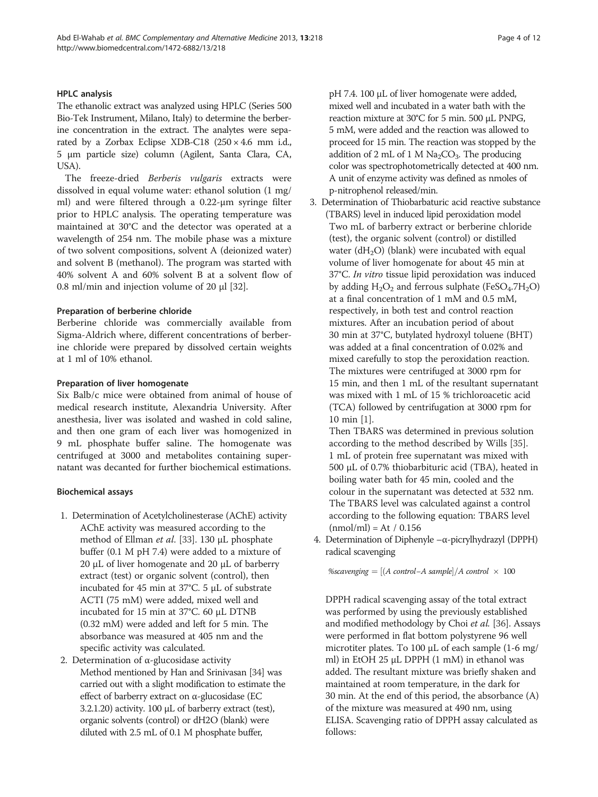# HPLC analysis

The ethanolic extract was analyzed using HPLC (Series 500 Bio-Tek Instrument, Milano, Italy) to determine the berberine concentration in the extract. The analytes were separated by a Zorbax Eclipse XDB-C18  $(250 \times 4.6 \text{ mm} \text{ i.d.},$ 5 μm particle size) column (Agilent, Santa Clara, CA, USA).

The freeze-dried Berberis vulgaris extracts were dissolved in equal volume water: ethanol solution (1 mg/ ml) and were filtered through a 0.22-μm syringe filter prior to HPLC analysis. The operating temperature was maintained at 30°C and the detector was operated at a wavelength of 254 nm. The mobile phase was a mixture of two solvent compositions, solvent A (deionized water) and solvent B (methanol). The program was started with 40% solvent A and 60% solvent B at a solvent flow of 0.8 ml/min and injection volume of 20 μl [\[32\]](#page-10-0).

### Preparation of berberine chloride

Berberine chloride was commercially available from Sigma-Aldrich where, different concentrations of berberine chloride were prepared by dissolved certain weights at 1 ml of 10% ethanol.

# Preparation of liver homogenate

Six Balb/c mice were obtained from animal of house of medical research institute, Alexandria University. After anesthesia, liver was isolated and washed in cold saline, and then one gram of each liver was homogenized in 9 mL phosphate buffer saline. The homogenate was centrifuged at 3000 and metabolites containing supernatant was decanted for further biochemical estimations.

# Biochemical assays

- 1. Determination of Acetylcholinesterase (AChE) activity AChE activity was measured according to the method of Ellman et al. [[33](#page-10-0)]. 130  $\mu$ L phosphate buffer (0.1 M pH 7.4) were added to a mixture of 20 μL of liver homogenate and 20 μL of barberry extract (test) or organic solvent (control), then incubated for 45 min at 37°C. 5 μL of substrate ACTI (75 mM) were added, mixed well and incubated for 15 min at 37°C. 60 μL DTNB (0.32 mM) were added and left for 5 min. The absorbance was measured at 405 nm and the specific activity was calculated.
- 2. Determination of α-glucosidase activity Method mentioned by Han and Srinivasan [\[34\]](#page-10-0) was carried out with a slight modification to estimate the effect of barberry extract on α-glucosidase (EC 3.2.1.20) activity. 100 μL of barberry extract (test), organic solvents (control) or dH2O (blank) were diluted with 2.5 mL of 0.1 M phosphate buffer,

pH 7.4. 100 μL of liver homogenate were added, mixed well and incubated in a water bath with the reaction mixture at 30°C for 5 min. 500 μL PNPG, 5 mM, were added and the reaction was allowed to proceed for 15 min. The reaction was stopped by the addition of 2 mL of 1 M  $Na<sub>2</sub>CO<sub>3</sub>$ . The producing color was spectrophotometrically detected at 400 nm. A unit of enzyme activity was defined as nmoles of p-nitrophenol released/min.

3. Determination of Thiobarbaturic acid reactive substance (TBARS) level in induced lipid peroxidation model Two mL of barberry extract or berberine chloride (test), the organic solvent (control) or distilled water ( $dH_2O$ ) (blank) were incubated with equal volume of liver homogenate for about 45 min at 37°C. In vitro tissue lipid peroxidation was induced by adding  $H_2O_2$  and ferrous sulphate (FeSO<sub>4</sub>.7H<sub>2</sub>O) at a final concentration of 1 mM and 0.5 mM, respectively, in both test and control reaction mixtures. After an incubation period of about 30 min at 37°C, butylated hydroxyl toluene (BHT) was added at a final concentration of 0.02% and mixed carefully to stop the peroxidation reaction. The mixtures were centrifuged at 3000 rpm for 15 min, and then 1 mL of the resultant supernatant was mixed with 1 mL of 15 % trichloroacetic acid (TCA) followed by centrifugation at 3000 rpm for 10 min [\[1](#page-9-0)].

Then TBARS was determined in previous solution according to the method described by Wills [\[35\]](#page-10-0). 1 mL of protein free supernatant was mixed with 500 μL of 0.7% thiobarbituric acid (TBA), heated in boiling water bath for 45 min, cooled and the colour in the supernatant was detected at 532 nm. The TBARS level was calculated against a control according to the following equation: TBARS level  $(nmol/ml) = At / 0.156$ 

4. Determination of Diphenyle –α-picrylhydrazyl (DPPH) radical scavenging

%scavenging = [ $(A \text{ control}-A \text{ sample}$ ]/A control  $\times$  100

DPPH radical scavenging assay of the total extract was performed by using the previously established and modified methodology by Choi et al. [\[36\]](#page-10-0). Assays were performed in flat bottom polystyrene 96 well microtiter plates. To 100 μL of each sample (1-6 mg/ ml) in EtOH 25 μL DPPH (1 mM) in ethanol was added. The resultant mixture was briefly shaken and maintained at room temperature, in the dark for 30 min. At the end of this period, the absorbance (A) of the mixture was measured at 490 nm, using ELISA. Scavenging ratio of DPPH assay calculated as follows: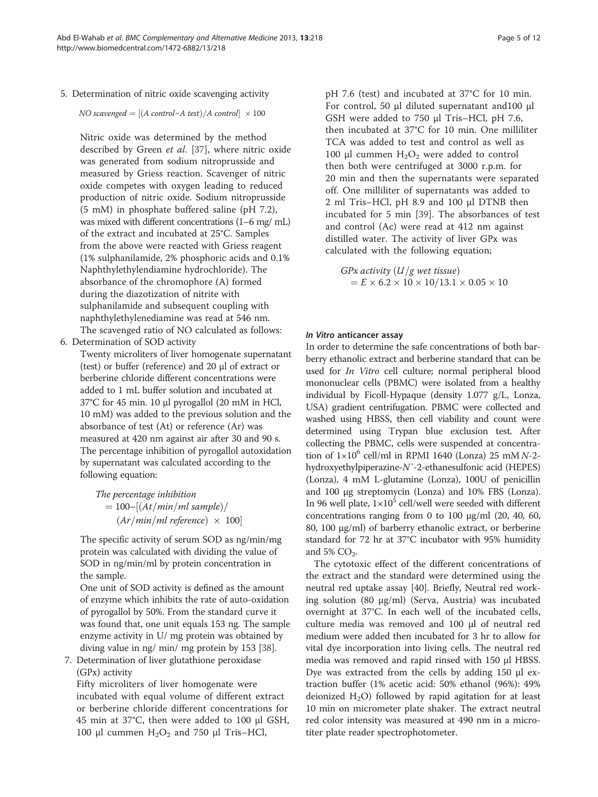$NO$  scavenged  $= [(A \ control-A \ test)/A \ control] \times 100$ 

Nitric oxide was determined by the method described by Green et al. [[37\]](#page-10-0), where nitric oxide was generated from sodium nitroprusside and measured by Griess reaction. Scavenger of nitric oxide competes with oxygen leading to reduced production of nitric oxide. Sodium nitroprusside (5 mM) in phosphate buffered saline (pH 7.2), was mixed with different concentrations (1–6 mg/ mL) of the extract and incubated at 25°C. Samples from the above were reacted with Griess reagent (1% sulphanilamide, 2% phosphoric acids and 0.1% Naphthylethylendiamine hydrochloride). The absorbance of the chromophore (A) formed during the diazotization of nitrite with sulphanilamide and subsequent coupling with naphthylethylenediamine was read at 546 nm. The scavenged ratio of NO calculated as follows:

6. Determination of SOD activity

Twenty microliters of liver homogenate supernatant (test) or buffer (reference) and 20 μl of extract or berberine chloride different concentrations were added to 1 mL buffer solution and incubated at 37°C for 45 min. 10 μl pyrogallol (20 mM in HCl, 10 mM) was added to the previous solution and the absorbance of test (At) or reference (Ar) was measured at 420 nm against air after 30 and 90 s. The percentage inhibition of pyrogallol autoxidation by supernatant was calculated according to the following equation:

The percentage inhibition  $= 100-[(At/min/ml sample)]$  $(Ar/min/ml$  reference $) \times 100$ 

The specific activity of serum SOD as ng/min/mg protein was calculated with dividing the value of SOD in ng/min/ml by protein concentration in the sample.

One unit of SOD activity is defined as the amount of enzyme which inhibits the rate of auto-oxidation of pyrogallol by 50%. From the standard curve it was found that, one unit equals 153 ng. The sample enzyme activity in U/ mg protein was obtained by diving value in ng/ min/ mg protein by 153 [[38\]](#page-10-0).

7. Determination of liver glutathione peroxidase (GPx) activity

Fifty microliters of liver homogenate were incubated with equal volume of different extract or berberine chloride different concentrations for 45 min at 37°C, then were added to 100 μl GSH, 100 μl cummen  $H_2O_2$  and 750 μl Tris–HCl,

pH 7.6 (test) and incubated at 37°C for 10 min. For control, 50 μl diluted supernatant and100 μl GSH were added to 750 μl Tris–HCl, pH 7.6, then incubated at 37°C for 10 min. One milliliter TCA was added to test and control as well as 100 μl cummen  $H_2O_2$  were added to control then both were centrifuged at 3000 r.p.m. for 20 min and then the supernatants were separated off. One milliliter of supernatants was added to 2 ml Tris–HCl, pH 8.9 and 100 μl DTNB then incubated for 5 min [[39](#page-10-0)]. The absorbances of test and control (Ac) were read at 412 nm against distilled water. The activity of liver GPx was calculated with the following equation;

GPx activity  $(U/g$  wet tissue)  $E = E \times 6.2 \times 10 \times 10/13.1 \times 0.05 \times 10$ 

#### In Vitro anticancer assay

In order to determine the safe concentrations of both barberry ethanolic extract and berberine standard that can be used for In Vitro cell culture; normal peripheral blood mononuclear cells (PBMC) were isolated from a healthy individual by Ficoll-Hypaque (density 1.077 g/L, Lonza, USA) gradient centrifugation. PBMC were collected and washed using HBSS, then cell viability and count were determined using Trypan blue exclusion test. After collecting the PBMC, cells were suspended at concentration of  $1\times10^6$  cell/ml in RPMI 1640 (Lonza) 25 mM N-2hydroxyethylpiperazine-N`-2-ethanesulfonic acid (HEPES) (Lonza), 4 mM L-glutamine (Lonza), 100U of penicillin and 100 μg streptomycin (Lonza) and 10% FBS (Lonza). In 96 well plate,  $1\times10^5$  cell/well were seeded with different concentrations ranging from 0 to 100 μg/ml (20, 40, 60, 80, 100 μg/ml) of barberry ethanolic extract, or berberine standard for 72 hr at 37°C incubator with 95% humidity and 5%  $CO<sub>2</sub>$ .

The cytotoxic effect of the different concentrations of the extract and the standard were determined using the neutral red uptake assay [[40](#page-10-0)]. Briefly, Neutral red working solution (80 μg/ml) (Serva, Austria) was incubated overnight at 37°C. In each well of the incubated cells, culture media was removed and 100 μl of neutral red medium were added then incubated for 3 hr to allow for vital dye incorporation into living cells. The neutral red media was removed and rapid rinsed with 150 μl HBSS. Dye was extracted from the cells by adding 150 μl extraction buffer (1% acetic acid: 50% ethanol (96%): 49% deionized  $H_2O$ ) followed by rapid agitation for at least 10 min on micrometer plate shaker. The extract neutral red color intensity was measured at 490 nm in a microtiter plate reader spectrophotometer.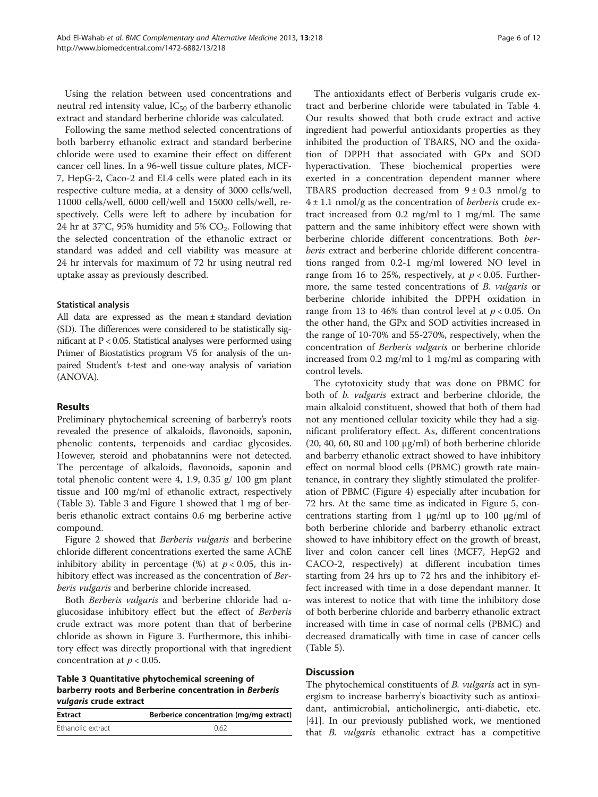Using the relation between used concentrations and neutral red intensity value,  $IC_{50}$  of the barberry ethanolic extract and standard berberine chloride was calculated.

Following the same method selected concentrations of both barberry ethanolic extract and standard berberine chloride were used to examine their effect on different cancer cell lines. In a 96-well tissue culture plates, MCF-7, HepG-2, Caco-2 and EL4 cells were plated each in its respective culture media, at a density of 3000 cells/well, 11000 cells/well, 6000 cell/well and 15000 cells/well, respectively. Cells were left to adhere by incubation for 24 hr at 37°C, 95% humidity and 5%  $CO<sub>2</sub>$ . Following that the selected concentration of the ethanolic extract or standard was added and cell viability was measure at 24 hr intervals for maximum of 72 hr using neutral red uptake assay as previously described.

#### Statistical analysis

All data are expressed as the mean ± standard deviation (SD). The differences were considered to be statistically significant at P < 0.05. Statistical analyses were performed using Primer of Biostatistics program V5 for analysis of the unpaired Student's t-test and one-way analysis of variation (ANOVA).

#### Results

Preliminary phytochemical screening of barberry's roots revealed the presence of alkaloids, flavonoids, saponin, phenolic contents, terpenoids and cardiac glycosides. However, steroid and phobatannins were not detected. The percentage of alkaloids, flavonoids, saponin and total phenolic content were 4, 1.9, 0.35 g/ 100 gm plant tissue and 100 mg/ml of ethanolic extract, respectively (Table 3). Table 3 and Figure [1](#page-6-0) showed that 1 mg of berberis ethanolic extract contains 0.6 mg berberine active compound.

Figure [2](#page-6-0) showed that Berberis vulgaris and berberine chloride different concentrations exerted the same AChE inhibitory ability in percentage  $(\%)$  at  $p < 0.05$ , this inhibitory effect was increased as the concentration of Berberis vulgaris and berberine chloride increased.

Both *Berberis vulgaris* and berberine chloride had  $α$ glucosidase inhibitory effect but the effect of Berberis crude extract was more potent than that of berberine chloride as shown in Figure [3](#page-6-0). Furthermore, this inhibitory effect was directly proportional with that ingredient concentration at  $p < 0.05$ .

# Table 3 Quantitative phytochemical screening of barberry roots and Berberine concentration in Berberis vulgaris crude extract

| Extract           | Berberice concentration (mg/mg extract) |
|-------------------|-----------------------------------------|
| Ethanolic extract | 062                                     |

The antioxidants effect of Berberis vulgaris crude extract and berberine chloride were tabulated in Table [4](#page-7-0). Our results showed that both crude extract and active ingredient had powerful antioxidants properties as they inhibited the production of TBARS, NO and the oxidation of DPPH that associated with GPx and SOD hyperactivation. These biochemical properties were exerted in a concentration dependent manner where TBARS production decreased from  $9 \pm 0.3$  nmol/g to  $4 \pm 1.1$  nmol/g as the concentration of *berberis* crude extract increased from 0.2 mg/ml to 1 mg/ml. The same pattern and the same inhibitory effect were shown with berberine chloride different concentrations. Both berberis extract and berberine chloride different concentrations ranged from 0.2-1 mg/ml lowered NO level in range from 16 to 25%, respectively, at  $p < 0.05$ . Furthermore, the same tested concentrations of B. vulgaris or berberine chloride inhibited the DPPH oxidation in range from 13 to 46% than control level at  $p < 0.05$ . On the other hand, the GPx and SOD activities increased in the range of 10-70% and 55-270%, respectively, when the concentration of Berberis vulgaris or berberine chloride increased from 0.2 mg/ml to 1 mg/ml as comparing with control levels.

The cytotoxicity study that was done on PBMC for both of b. vulgaris extract and berberine chloride, the main alkaloid constituent, showed that both of them had not any mentioned cellular toxicity while they had a significant proliferatory effect. As, different concentrations (20, 40, 60, 80 and 100  $\mu$ g/ml) of both berberine chloride and barberry ethanolic extract showed to have inhibitory effect on normal blood cells (PBMC) growth rate maintenance, in contrary they slightly stimulated the proliferation of PBMC (Figure [4\)](#page-7-0) especially after incubation for 72 hrs. At the same time as indicated in Figure [5](#page-8-0), concentrations starting from 1  $\mu$ g/ml up to 100  $\mu$ g/ml of both berberine chloride and barberry ethanolic extract showed to have inhibitory effect on the growth of breast, liver and colon cancer cell lines (MCF7, HepG2 and CACO-2, respectively) at different incubation times starting from 24 hrs up to 72 hrs and the inhibitory effect increased with time in a dose dependant manner. It was interest to notice that with time the inhibitory dose of both berberine chloride and barberry ethanolic extract increased with time in case of normal cells (PBMC) and decreased dramatically with time in case of cancer cells (Table [5\)](#page-8-0).

#### **Discussion**

The phytochemical constituents of *B. vulgaris* act in synergism to increase barberry's bioactivity such as antioxidant, antimicrobial, anticholinergic, anti-diabetic, etc. [[41\]](#page-10-0). In our previously published work, we mentioned that B. vulgaris ethanolic extract has a competitive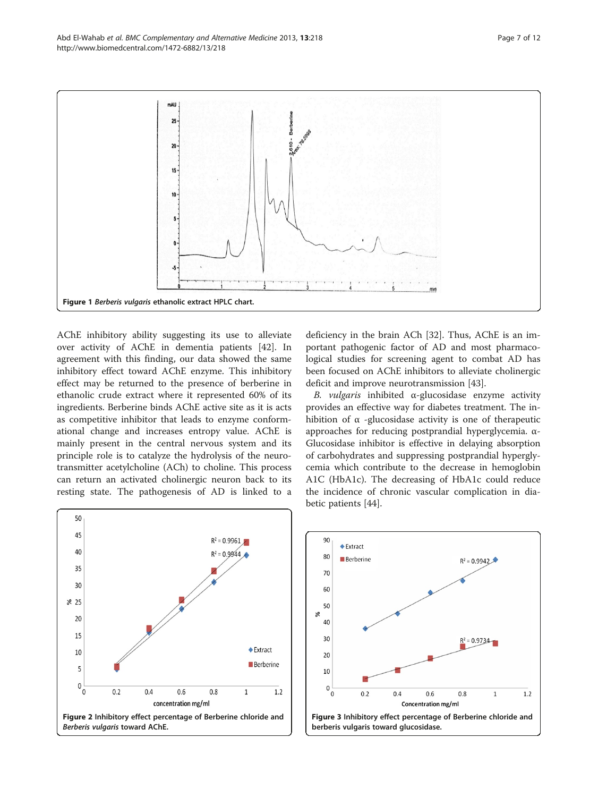<span id="page-6-0"></span>

AChE inhibitory ability suggesting its use to alleviate over activity of AChE in dementia patients [[42](#page-10-0)]. In agreement with this finding, our data showed the same inhibitory effect toward AChE enzyme. This inhibitory effect may be returned to the presence of berberine in ethanolic crude extract where it represented 60% of its ingredients. Berberine binds AChE active site as it is acts as competitive inhibitor that leads to enzyme conformational change and increases entropy value. AChE is mainly present in the central nervous system and its principle role is to catalyze the hydrolysis of the neurotransmitter acetylcholine (ACh) to choline. This process can return an activated cholinergic neuron back to its resting state. The pathogenesis of AD is linked to a



deficiency in the brain ACh [\[32](#page-10-0)]. Thus, AChE is an important pathogenic factor of AD and most pharmacological studies for screening agent to combat AD has been focused on AChE inhibitors to alleviate cholinergic deficit and improve neurotransmission [\[43](#page-10-0)].

B. *vulgaris* inhibited  $\alpha$ -glucosidase enzyme activity provides an effective way for diabetes treatment. The inhibition of  $\alpha$  -glucosidase activity is one of the rapeutic approaches for reducing postprandial hyperglycemia. α-Glucosidase inhibitor is effective in delaying absorption of carbohydrates and suppressing postprandial hyperglycemia which contribute to the decrease in hemoglobin A1C (HbA1c). The decreasing of HbA1c could reduce the incidence of chronic vascular complication in diabetic patients [[44](#page-10-0)].

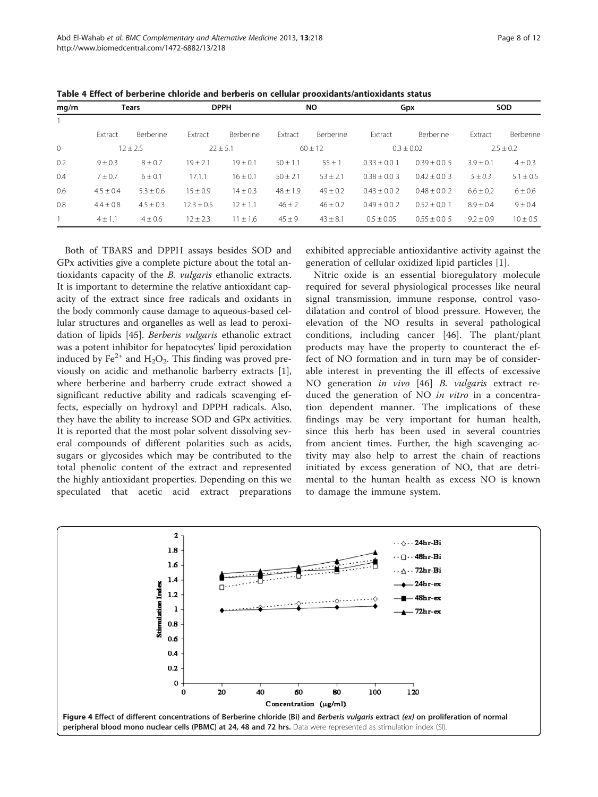| mg/rn    | Tears         |               |                | <b>DPPH</b>  |              | <b>NO</b>    |                 | Gpx             |               | <b>SOD</b>    |  |
|----------|---------------|---------------|----------------|--------------|--------------|--------------|-----------------|-----------------|---------------|---------------|--|
|          |               |               |                |              |              |              |                 |                 |               |               |  |
|          | Extract       | Berberine     | Extract        | Berberine    | Extract      | Berberine    | Extract         | Berberine       | Extract       | Berberine     |  |
| $\Omega$ |               | $12 + 2.5$    | $22 + 5.1$     |              |              | $60 + 12$    |                 | $0.3 \pm 0.02$  |               | $2.5 \pm 0.2$ |  |
| 0.2      | $9 + 0.3$     | $8 \pm 0.7$   | $19 \pm 2.1$   | $19 + 0.1$   | $50 + 1.1$   | $55 \pm 1$   | $0.33 \pm 0.01$ | $0.39 \pm 0.05$ | $3.9 \pm 0.1$ | $4 \pm 0.3$   |  |
| 0.4      | $7 + 0.7$     | $6 \pm 0.1$   | 17.1.1         | $16 \pm 0.1$ | $50 \pm 2.1$ | $53 \pm 2.1$ | $0.38 + 0.03$   | $0.42 + 0.03$   | $5 \pm 0.3$   | $5.1 \pm 0.5$ |  |
| 0.6      | $4.5 \pm 0.4$ | $5.3 + 0.6$   | $15 + 0.9$     | $14 \pm 0.3$ | $48 \pm 1.9$ | $49 \pm 0.2$ | $0.43 + 0.02$   | $0.48 + 0.0$ 2  | $6.6 \pm 0.2$ | 6 ± 0.6       |  |
| 0.8      | $4.4 \pm 0.8$ | $4.5 \pm 0.3$ | $12.3 \pm 0.5$ | $12 \pm 1.1$ | $46 \pm 2$   | $46 \pm 0.2$ | $0.49 \pm 0.02$ | $0.52 \pm 0.01$ | $8.9 \pm 0.4$ | $9 \pm 0.4$   |  |
|          | $4 \pm 1.1$   | $4 \pm 0.6$   | $12 \pm 2.3$   | $11 \pm 1.6$ | $45 \pm 9$   | $43 \pm 8.1$ | $0.5 \pm 0.05$  | $0.55 + 0.05$   | $9.2 \pm 0.9$ | $10 \pm 0.5$  |  |

<span id="page-7-0"></span>Table 4 Effect of berberine chloride and berberis on cellular prooxidants/antioxidants status

Both of TBARS and DPPH assays besides SOD and GPx activities give a complete picture about the total antioxidants capacity of the B. vulgaris ethanolic extracts. It is important to determine the relative antioxidant capacity of the extract since free radicals and oxidants in the body commonly cause damage to aqueous-based cellular structures and organelles as well as lead to peroxidation of lipids [\[45](#page-10-0)]. Berberis vulgaris ethanolic extract was a potent inhibitor for hepatocytes' lipid peroxidation induced by  $Fe^{2+}$  and  $H_2O_2$ . This finding was proved previously on acidic and methanolic barberry extracts [\[1](#page-9-0)], where berberine and barberry crude extract showed a significant reductive ability and radicals scavenging effects, especially on hydroxyl and DPPH radicals. Also, they have the ability to increase SOD and GPx activities. It is reported that the most polar solvent dissolving several compounds of different polarities such as acids, sugars or glycosides which may be contributed to the total phenolic content of the extract and represented the highly antioxidant properties. Depending on this we speculated that acetic acid extract preparations

exhibited appreciable antioxidantive activity against the generation of cellular oxidized lipid particles [[1](#page-9-0)].

Nitric oxide is an essential bioregulatory molecule required for several physiological processes like neural signal transmission, immune response, control vasodilatation and control of blood pressure. However, the elevation of the NO results in several pathological conditions, including cancer [\[46\]](#page-10-0). The plant/plant products may have the property to counteract the effect of NO formation and in turn may be of considerable interest in preventing the ill effects of excessive NO generation in vivo [\[46](#page-10-0)] B. vulgaris extract reduced the generation of NO in vitro in a concentration dependent manner. The implications of these findings may be very important for human health, since this herb has been used in several countries from ancient times. Further, the high scavenging activity may also help to arrest the chain of reactions initiated by excess generation of NO, that are detrimental to the human health as excess NO is known to damage the immune system.

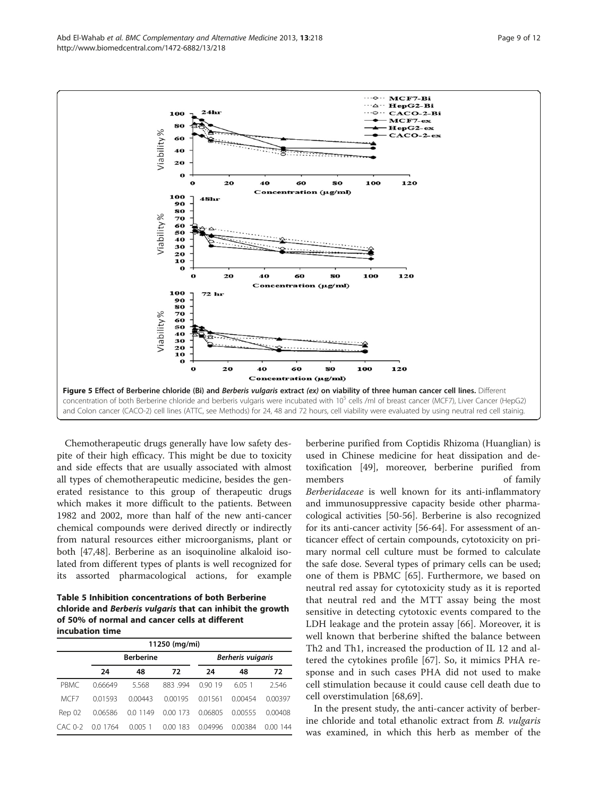<span id="page-8-0"></span>

Chemotherapeutic drugs generally have low safety despite of their high efficacy. This might be due to toxicity and side effects that are usually associated with almost all types of chemotherapeutic medicine, besides the generated resistance to this group of therapeutic drugs which makes it more difficult to the patients. Between 1982 and 2002, more than half of the new anti-cancer chemical compounds were derived directly or indirectly from natural resources either microorganisms, plant or both [[47,48\]](#page-10-0). Berberine as an isoquinoline alkaloid isolated from different types of plants is well recognized for its assorted pharmacological actions, for example

Table 5 Inhibition concentrations of both Berberine chloride and Berberis vulgaris that can inhibit the growth of 50% of normal and cancer cells at different incubation time

| 11250 (mg/mi) |         |                  |          |         |                          |          |  |  |
|---------------|---------|------------------|----------|---------|--------------------------|----------|--|--|
|               |         | <b>Berberine</b> |          |         | <b>Berheris vuigaris</b> |          |  |  |
|               | 24      | 48               | 72       | 24      | 48                       | 72       |  |  |
| <b>PBMC</b>   | 066649  | 5.568            | 883 994  | 0.90.19 | 6.051                    | 2546     |  |  |
| MCF7          | 001593  | 0.00443          | 0.00195  | 0.01561 | 0.00454                  | 0.00397  |  |  |
| Rep 02        | 0.06586 | 0.0 1149         | 0.00 173 | 0.06805 | 0.00555                  | 0.00408  |  |  |
| $CAC$ 0-2     | 00 1764 | 0.0051           | 0.00183  | 0.04996 | 0.00384                  | 0.00.144 |  |  |

berberine purified from Coptidis Rhizoma (Huanglian) is used in Chinese medicine for heat dissipation and detoxification [[49\]](#page-10-0), moreover, berberine purified from members of family Berberidaceae is well known for its anti-inflammatory and immunosuppressive capacity beside other pharmacological activities [\[50](#page-10-0)-[56\]](#page-10-0). Berberine is also recognized for its anti-cancer activity [[56-64](#page-10-0)]. For assessment of anticancer effect of certain compounds, cytotoxicity on primary normal cell culture must be formed to calculate the safe dose. Several types of primary cells can be used; one of them is PBMC [\[65](#page-10-0)]. Furthermore, we based on neutral red assay for cytotoxicity study as it is reported that neutral red and the MTT assay being the most sensitive in detecting cytotoxic events compared to the LDH leakage and the protein assay [[66\]](#page-10-0). Moreover, it is well known that berberine shifted the balance between Th2 and Th1, increased the production of IL 12 and altered the cytokines profile [\[67\]](#page-10-0). So, it mimics PHA response and in such cases PHA did not used to make cell stimulation because it could cause cell death due to cell overstimulation [[68,](#page-10-0)[69\]](#page-11-0).

In the present study, the anti-cancer activity of berberine chloride and total ethanolic extract from B. vulgaris was examined, in which this herb as member of the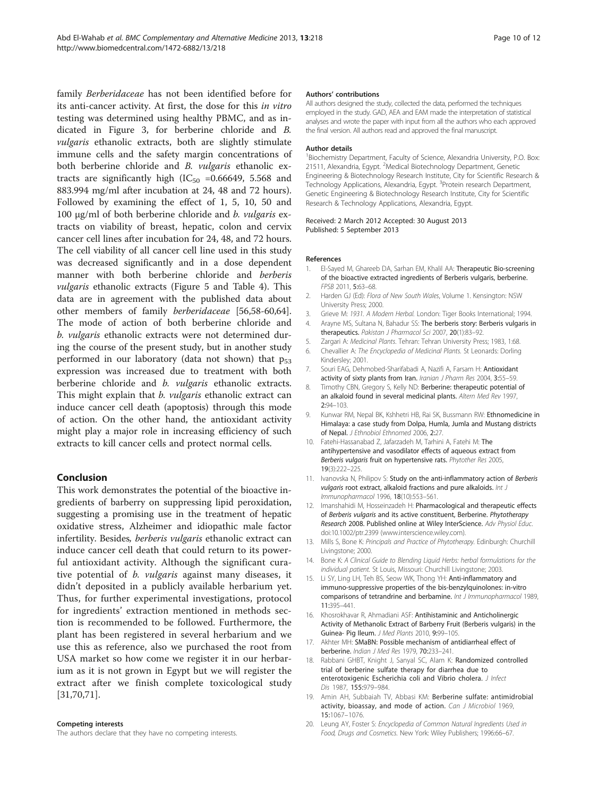<span id="page-9-0"></span>family Berberidaceae has not been identified before for its anti-cancer activity. At first, the dose for this in vitro testing was determined using healthy PBMC, and as indicated in Figure [3](#page-6-0), for berberine chloride and B. vulgaris ethanolic extracts, both are slightly stimulate immune cells and the safety margin concentrations of both berberine chloride and *B. vulgaris* ethanolic extracts are significantly high  $(IC_{50} = 0.66649, 5.568)$  and 883.994 mg/ml after incubation at 24, 48 and 72 hours). Followed by examining the effect of 1, 5, 10, 50 and 100 μg/ml of both berberine chloride and b. vulgaris extracts on viability of breast, hepatic, colon and cervix cancer cell lines after incubation for 24, 48, and 72 hours. The cell viability of all cancer cell line used in this study was decreased significantly and in a dose dependent manner with both berberine chloride and berberis vulgaris ethanolic extracts (Figure [5](#page-8-0) and Table [4\)](#page-7-0). This data are in agreement with the published data about other members of family berberidaceae [\[56,58-60,64](#page-10-0)]. The mode of action of both berberine chloride and b. vulgaris ethanolic extracts were not determined during the course of the present study, but in another study performed in our laboratory (data not shown) that  $p_{53}$ expression was increased due to treatment with both berberine chloride and b. vulgaris ethanolic extracts. This might explain that *b. vulgaris* ethanolic extract can induce cancer cell death (apoptosis) through this mode of action. On the other hand, the antioxidant activity might play a major role in increasing efficiency of such extracts to kill cancer cells and protect normal cells.

#### Conclusion

This work demonstrates the potential of the bioactive ingredients of barberry on suppressing lipid peroxidation, suggesting a promising use in the treatment of hepatic oxidative stress, Alzheimer and idiopathic male factor infertility. Besides, *berberis vulgaris* ethanolic extract can induce cancer cell death that could return to its powerful antioxidant activity. Although the significant curative potential of *b. vulgaris* against many diseases, it didn't deposited in a publicly available herbarium yet. Thus, for further experimental investigations, protocol for ingredients' extraction mentioned in [methods](#page-6-0) section is recommended to be followed. Furthermore, the plant has been registered in several herbarium and we use this as reference, also we purchased the root from USA market so how come we register it in our herbarium as it is not grown in Egypt but we will register the extract after we finish complete toxicological study [[31](#page-10-0)[,70,71\]](#page-11-0).

#### Competing interests

The authors declare that they have no competing interests.

#### Authors' contributions

All authors designed the study, collected the data, performed the techniques employed in the study. GAD, AEA and EAM made the interpretation of statistical analyses and wrote the paper with input from all the authors who each approved the final version. All authors read and approved the final manuscript.

#### Author details

<sup>1</sup> Biochemistry Department, Faculty of Science, Alexandria University, P.O. Box 21511, Alexandria, Egypt. <sup>2</sup>Medical Biotechnology Department, Genetic Engineering & Biotechnology Research Institute, City for Scientific Research & Technology Applications, Alexandria, Egypt. <sup>3</sup>Protein research Department, Genetic Engineering & Biotechnology Research Institute, City for Scientific Research & Technology Applications, Alexandria, Egypt.

#### Received: 2 March 2012 Accepted: 30 August 2013 Published: 5 September 2013

#### References

- 1. El-Sayed M, Ghareeb DA, Sarhan EM, Khalil AA: Therapeutic Bio-screening of the bioactive extracted ingredients of Berberis vulgaris, berberine. FPSB 2011, 5:63–68.
- 2. Harden GJ (Ed): Flora of New South Wales, Volume 1. Kensington: NSW University Press; 2000.
- 3. Grieve M: 1931. A Modern Herbal. London: Tiger Books International; 1994.
- 4. Arayne MS, Sultana N, Bahadur SS: The berberis story: Berberis vulgaris in therapeutics. Pakistan J Pharmacol Sci 2007, 20(1):83–92.
- 5. Zargari A: Medicinal Plants. Tehran: Tehran University Press; 1983, 1:68.
- 6. Chevallier A: The Encyclopedia of Medicinal Plants. St Leonards: Dorling Kindersley; 2001.
- 7. Souri EAG, Dehmobed-Sharifabadi A, Nazifi A, Farsam H: Antioxidant activity of sixty plants from Iran. Iranian J Pharm Res 2004, 3:55-59.
- 8. Timothy CBN, Gregory S, Kelly ND: Berberine: therapeutic potential of an alkaloid found in several medicinal plants. Altern Med Rev 1997, 2:94–103.
- 9. Kunwar RM, Nepal BK, Kshhetri HB, Rai SK, Bussmann RW: Ethnomedicine in Himalaya: a case study from Dolpa, Humla, Jumla and Mustang districts of Nepal. J Ethnobiol Ethnomed 2006, 2:27.
- 10. Fatehi-Hassanabad Z, Jafarzadeh M, Tarhini A, Fatehi M: The antihypertensive and vasodilator effects of aqueous extract from Berberis vulgaris fruit on hypertensive rats. Phytother Res 2005, 19(3):222–225.
- 11. Ivanovska N, Philipov S: Study on the anti-inflammatory action of Berberis vulgaris root extract, alkaloid fractions and pure alkaloids. Int J Immunopharmacol 1996, 18(10):553–561.
- 12. Imanshahidi M, Hosseinzadeh H: Pharmacological and therapeutic effects of Berberis vulgaris and its active constituent, Berberine. Phytotherapy Research 2008. Published online at Wiley InterScience. Adv Physiol Educ. doi:10.1002/ptr.2399 [\(www.interscience.wiley.com](http://www.interscience.wiley.com)).
- 13. Mills S, Bone K: Principals and Practice of Phytotherapy. Edinburgh: Churchill Livingstone; 2000.
- 14. Bone K: A Clinical Guide to Blending Liquid Herbs: herbal formulations for the individual patient. St Louis, Missouri: Churchill Livingstone; 2003.
- 15. Li SY, Ling LH, Teh BS, Seow WK, Thong YH: Anti-inflammatory and immuno-suppressive properties of the bis-benzylquinolones: in-vitro comparisons of tetrandrine and berbamine. Int J Immunopharmacol 1989, 11:395–441.
- 16. Khosrokhavar R, Ahmadiani ASF: Antihistaminic and Anticholinergic Activity of Methanolic Extract of Barberry Fruit (Berberis vulgaris) in the Guinea- Pig Ileum. J Med Plants 2010, 9:99–105.
- 17. Akhter MH: SMaBN: Possible mechanism of antidiarrheal effect of berberine. Indian J Med Res 1979, 70:233–241.
- 18. Rabbani GHBT, Knight J, Sanyal SC, Alam K: Randomized controlled trial of berberine sulfate therapy for diarrhea due to enterotoxigenic Escherichia coli and Vibrio cholera. J Infect Dis 1987, 155:979–984.
- 19. Amin AH, Subbaiah TV, Abbasi KM: Berberine sulfate: antimidrobial activity, bioassay, and mode of action. Can J Microbiol 1969, 15:1067–1076.
- 20. Leung AY, Foster S: Encyclopedia of Common Natural Ingredients Used in Food, Drugs and Cosmetics. New York: Wiley Publishers; 1996:66–67.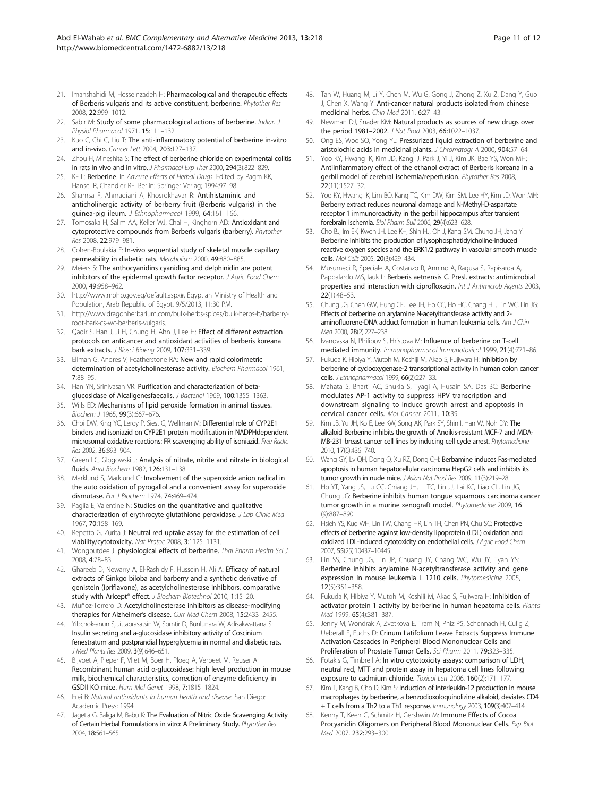- <span id="page-10-0"></span>21. Imanshahidi M, Hosseinzadeh H: Pharmacological and therapeutic effects of Berberis vulgaris and its active constituent, berberine. Phytother Res 2008, 22:999–1012.
- 22. Sabir M: Study of some pharmacological actions of berberine. Indian J Physiol Pharmacol 1971, 15:111–132.
- 23. Kuo C, Chi C, Liu T: The anti-inflammatory potential of berberine in-vitro and in-vivo. Cancer Lett 2004, 203:127–137.
- 24. Zhou H, Mineshita S: The effect of berberine chloride on experimental colitis in rats in vivo and in vitro. J Pharmacol Exp Ther 2000, 294(3):822-829.
- 25. KF L: Berberine. In Adverse Effects of Herbal Drugs. Edited by Pagm KK, Hansel R, Chandler RF. Berlin: Springer Verlag; 1994:97–98.
- 26. Shamsa F, Ahmadiani A, Khosrokhavar R: Antihistaminic and anticholinergic activity of berberry fruit (Berberis vulgaris) in the guinea-pig ileum. J Ethnopharmacol 1999, 64:161-166.
- 27. Tomosaka H, Salim AA, Keller WJ, Chai H, Kinghorn AD: Antioxidant and cytoprotective compounds from Berberis vulgaris (barberry). Phytother Res 2008, 22:979–981.
- 28. Cohen-Boulakia F: In-vivo sequential study of skeletal muscle capillary permeability in diabetic rats. Metabolism 2000, 49:880–885.
- 29. Meiers S: The anthocyanidins cyaniding and delphinidin are potent inhibitors of the epidermal growth factor receptor. J Agric Food Chem 2000, 49:958–962.
- 30. [http://www.mohp.gov.eg/default.aspx#](http://www.mohp.gov.eg/default.aspx), Egyptian Ministry of Health and Population, Arab Republic of Egypt, 9/5/2013, 11:30 PM.
- 31. [http://www.dragonherbarium.com/bulk-herbs-spices/bulk-herbs-b/barberry](http://www.dragonherbarium.com/bulk-herbs-spices/bulk-herbs-b/barberry-root-bark-cs-wc-berberis-vulgaris)[root-bark-cs-wc-berberis-vulgaris](http://www.dragonherbarium.com/bulk-herbs-spices/bulk-herbs-b/barberry-root-bark-cs-wc-berberis-vulgaris).
- 32. Qadir S, Han J, Ji H, Chung H, Ahn J, Lee H: Effect of different extraction protocols on anticancer and antioxidant activities of berberis koreana bark extracts. J Biosci Bioeng 2009, 107:331–339.
- 33. Ellman G, Andres V, Featherstone RA: New and rapid colorimetric determination of acetylcholinesterase activity. Biochem Pharmacol 1961, 7:88–95.
- 34. Han YN, Srinivasan VR: Purification and characterization of betaglucosidase of Alcaligenesfaecalis. J Bacteriol 1969, 100:1355–1363.
- 35. Wills ED: Mechanisms of lipid peroxide formation in animal tissues. Biochem J 1965, 99(3):667–676.
- 36. Choi DW, King YC, Leroy P, Siest G, Wellman M: Differential role of CYP2E1 binders and isoniazid on CYP2E1 protein modification in NADPHdependent microsomal oxidative reactions: FR scavenging ability of isoniazid. Free Radic Res 2002, 36:893–904.
- 37. Green LC, Glogowski J: Analysis of nitrate, nitrite and nitrate in biological fluids. Anal Biochem 1982, 126:131–138.
- 38. Marklund S, Marklund G: Involvement of the superoxide anion radical in the auto oxidation of pyrogallol and a convenient assay for superoxide dismutase. Eur J Biochem 1974, 74:469–474.
- 39. Paglia E, Valentine N: Studies on the quantitative and qualitative characterization of erythrocyte glutathione peroxidase. J Lab Clinic Med 1967, 70:158–169.
- 40. Repetto G, Zurita J: Neutral red uptake assay for the estimation of cell viability/cytotoxicity. Nat Protoc 2008, 3:1125–1131.
- 41. Wongbutdee J: physiological effects of berberine. Thai Pharm Health Sci J 2008, 4:78–83.
- 42. Ghareeb D, Newarry A, El-Rashidy F, Hussein H, Ali A: Efficacy of natural extracts of Ginkgo biloba and barberry and a synthetic derivative of genistein (ipriflavone), as acetylcholinesterase inhibitors, comparative study with Aricept® effect. J Biochem Biotechnol 2010, 1:15-20.
- 43. Muñoz-Torrero D: Acetylcholinesterase inhibitors as disease-modifying therapies for Alzheimer's disease. Curr Med Chem 2008, 15:2433–2455.
- 44. Yibchok-anun S, Jittaprasatsin W, Somtir D, Bunlunara W, Adisakwattana S: Insulin secreting and a-glucosidase inhibitory activity of Coscinium fenestratum and postprandial hyperglycemia in normal and diabetic rats. J Med Plants Res 2009, 3(9):646–651.
- 45. Bijvoet A, Pieper F, Vliet M, Boer H, Ploeg A, Verbeet M, Reuser A: Recombinant human acid α-glucosidase: high level production in mouse milk, biochemical characteristics, correction of enzyme deficiency in GSDII KO mice. Hum Mol Genet 1998, 7:1815–1824.
- 46. Frei B: Natural antioxidants in human health and disease. San Diego: Academic Press; 1994.
- 47. Jagetia G, Baliga M, Babu K: The Evaluation of Nitric Oxide Scavenging Activity of Certain Herbal Formulations in vitro: A Preliminary Study. Phytother Res 2004, 18:561–565.
- 48. Tan W, Huang M, Li Y, Chen M, Wu G, Gong J, Zhong Z, Xu Z, Dang Y, Guo J, Chen X, Wang Y: Anti-cancer natural products isolated from chinese medicinal herbs. Chin Med 2011, 6:27–43.
- 49. Newman DJ, Snader KM: Natural products as sources of new drugs over the period 1981–2002. J Nat Prod 2003, 66:1022–1037.
- 50. Ong ES, Woo SO, Yong YL: Pressurized liquid extraction of berberine and aristolochic acids in medicinal plants. J Chromatogr A 2000, 904:57–64.
- 51. Yoo KY, Hwang IK, Kim JD, Kang IJ, Park J, Yi J, Kim JK, Bae YS, Won MH: Antiinflammatory effect of the ethanol extract of Berberis koreana in a gerbil model of cerebral ischemia/reperfusion. Phytother Res 2008, 22(11):1527–32.
- 52. Yoo KY, Hwang IK, Lim BO, Kang TC, Kim DW, Kim SM, Lee HY, Kim JD, Won MH: Berberry extract reduces neuronal damage and N-Methyl-D-aspartate receptor 1 immunoreactivity in the gerbil hippocampus after transient forebrain ischemia. Biol Pharm Bull 2006, 29(4):623–628.
- 53. Cho BJ, Im EK, Kwon JH, Lee KH, Shin HJ, Oh J, Kang SM, Chung JH, Jang Y: Berberine inhibits the production of lysophosphatidylcholine-induced reactive oxygen species and the ERK1/2 pathway in vascular smooth muscle cells. Mol Cells 2005, 20(3):429–434.
- 54. Musumeci R, Speciale A, Costanzo R, Annino A, Ragusa S, Rapisarda A, Pappalardo MS, lauk L: Berberis aetnensis C. Presl. extracts: antimicrobial properties and interaction with ciprofloxacin. Int J Antimicrob Agents 2003, 22(1):48–53.
- 55. Chung JG, Chen GW, Hung CF, Lee JH, Ho CC, Ho HC, Chang HL, Lin WC, Lin JG: Effects of berberine on arylamine N-acetyltransferase activity and 2 aminofluorene-DNA adduct formation in human leukemia cells. Am J Chin Med 2000, 28(2):227–238.
- 56. Ivanovska N, Philipov S, Hristova M: Influence of berberine on T-cell mediated immunity. Immunopharmacol Immunotoxicol 1999, 21(4):771–86.
- 57. Fukuda K, Hibiya Y, Mutoh M, Koshiji M, Akao S, Fujiwara H: Inhibition by berberine of cyclooxygenase-2 transcriptional activity in human colon cancer cells. J Ethnopharmacol 1999, 66(2):227–33.
- 58. Mahata S, Bharti AC, Shukla S, Tyagi A, Husain SA, Das BC: Berberine modulates AP-1 activity to suppress HPV transcription and downstream signaling to induce growth arrest and apoptosis in cervical cancer cells. Mol Cancer 2011, 10:39.
- 59. Kim JB, Yu JH, Ko E, Lee KW, Song AK, Park SY, Shin I, Han W, Noh DY: The alkaloid Berberine inhibits the growth of Anoikis-resistant MCF-7 and MDA-MB-231 breast cancer cell lines by inducing cell cycle arrest. Phytomedicine 2010, 17(6):436–740.
- 60. Wang GY, Lv QH, Dong Q, Xu RZ, Dong QH: Berbamine induces Fas-mediated apoptosis in human hepatocellular carcinoma HepG2 cells and inhibits its tumor growth in nude mice. J Asian Nat Prod Res 2009, 11(3):219-28.
- 61. Ho YT, Yang JS, Lu CC, Chiang JH, Li TC, Lin JJ, Lai KC, Liao CL, Lin JG, Chung JG: Berberine inhibits human tongue squamous carcinoma cancer tumor growth in a murine xenograft model. Phytomedicine 2009, 16 (9):887–890.
- 62. Hsieh YS, Kuo WH, Lin TW, Chang HR, Lin TH, Chen PN, Chu SC: Protective effects of berberine against low-density lipoprotein (LDL) oxidation and oxidized LDL-induced cytotoxicity on endothelial cells. J Agric Food Chem 2007, 55(25):10437–10445.
- 63. Lin SS, Chung JG, Lin JP, Chuang JY, Chang WC, Wu JY, Tyan YS: Berberine inhibits arylamine N-acetyltransferase activity and gene expression in mouse leukemia L 1210 cells. Phytomedicine 2005, 12(5):351–358.
- 64. Fukuda K, Hibiya Y, Mutoh M, Koshiji M, Akao S, Fujiwara H: Inhibition of activator protein 1 activity by berberine in human hepatoma cells. Planta Med 1999, 65(4):381–387.
- 65. Jenny M, Wondrak A, Zvetkova E, Tram N, Phiz P5, Schennach H, Culig Z, Ueberall F, Fuchs D: Crinum Latifolium Leave Extracts Suppress Immune Activation Cascades in Peripheral Blood Mononuclear Cells and Proliferation of Prostate Tumor Cells. Sci Pharm 2011, 79:323–335.
- 66. Fotakis G, Timbrell A: In vitro cytotoxicity assays: comparison of LDH, neutral red, MTT and protein assay in hepatoma cell lines following exposure to cadmium chloride. Toxicol Lett 2006, 160(2):171–177.
- 67. Kim T, Kang B, Cho D, Kim S: Induction of interleukin-12 production in mouse macrophages by berberine, a benzodioxoloquinolizine alkaloid, deviates CD4 + T cells from a Th2 to a Th1 response. Immunology 2003, 109(3):407-414.
- 68. Kenny T, Keen C, Schmitz H, Gershwin M: Immune Effects of Cocoa Procyanidin Oligomers on Peripheral Blood Mononuclear Cells. Exp Biol Med 2007, 232:293–300.